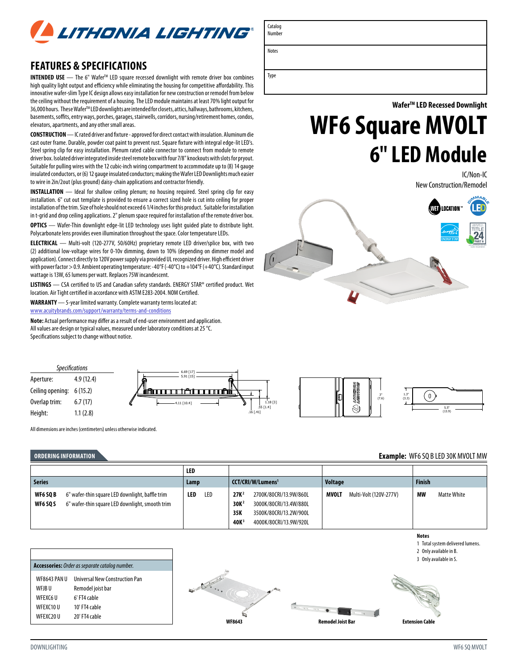

# **FEATURES & SPECIFICATIONS**

**INTENDED USE** − The 6" Wafer<sup>™</sup> LED square recessed downlight with remote driver box combines high quality light output and efficiency while eliminating the housing for competitive affordability. This innovative wafer-slim Type IC design allows easy installation for new construction or remodel from below the ceiling without the requirement of a housing. The LED module maintains at least 70% light output for 36,000 hours. These Wafer™ LED downlights are intended for closets, attics, hallways, bathrooms, kitchens, basements, soffits, entry ways, porches, garages, stairwells, corridors, nursing/retirement homes, condos, elevators, apartments, and any other small areas.

**CONSTRUCTION** — IC rated driver and fixture - approved for direct contact with insulation. Aluminum die cast outer frame. Durable, powder coat paint to prevent rust. Square fixture with integral edge-lit LED's. Steel spring clip for easy installation. Plenum rated cable connector to connect from module to remote driver box. Isolated driver integrated inside steel remote box with four 7/8" knockouts with slots for pryout. Suitable for pulling wires with the 12 cubic-inch wiring compartment to accommodate up to (8) 14 gauge insulated conductors, or (6) 12 gauge insulated conductors; making the Wafer LED Downlights much easier to wire in 2in/2out (plus ground) daisy-chain applications and contractor friendly.

**INSTALLATION** - Ideal for shallow ceiling plenum; no housing required. Steel spring clip for easy installation. 6" cut out template is provided to ensure a correct sized hole is cut into ceiling for proper installation of the trim. Size of hole should not exceed 6 1/4 inches for this product. Suitable for installation in t-grid and drop ceiling applications. 2" plenum space required for installation of the remote driver box.

**OPTICS** — Wafer-Thin downlight edge-lit LED technology uses light guided plate to distribute light. Polycarbonate lens provides even illumination throughout the space. Color temperature LEDs.

**ELECTRICAL** — Multi-volt (120-277V, 50/60Hz) proprietary remote LED driver/splice box, with two (2) additional low-voltage wires for 0-10v dimming, down to 10% (depending on dimmer model and application). Connect directly to 120V power supply via provided UL recognized driver. High efficient driver with power factor > 0.9. Ambient operating temperature: -40°F (-40°C) to +104°F (+40°C). Standard input wattage is 13W, 65 lumens per watt. Replaces 75W incandescent.

**LISTINGS** — CSA certified to US and Canadian safety standards. ENERGY STAR® certified product. Wet location. Air Tight certified in accordance with ASTM E283-2004. NOM Certified.

**WARRANTY** — 5-year limited warranty. Complete warranty terms located at: [www.acuitybrands.com/support/warranty/terms-and-conditions](http://www.acuitybrands.com/support/warranty/terms-and-conditions)

**Note:** Actual performance may differ as a result of end-user environment and application. All values are design or typical values, measured under laboratory conditions at 25 °C. Specifications subject to change without notice.

Type

Notes

**WaferTM LED Recessed Downlight** 

# **WF6 Square MVOLT 6" LED Module**

IC/Non-IC New Construction/Remodel





5.5" (13.9)

 $\begin{bmatrix} 0 \end{bmatrix}$ 

**Notes** 

### **ORDERING INFORMATION Example:** WF6 SQ B LED 30K MVOLT MW

All dimensions are inches (centimeters) unless otherwise indicated.

|                                                                                                                                          | LED        |                                                                                                                                                                         |                                 |                          |
|------------------------------------------------------------------------------------------------------------------------------------------|------------|-------------------------------------------------------------------------------------------------------------------------------------------------------------------------|---------------------------------|--------------------------|
| <b>Series</b>                                                                                                                            | Lamp       | CCT/CRI/W/Lumens <sup>1</sup>                                                                                                                                           | <b>Voltage</b>                  | <b>Finish</b>            |
| 6" wafer-thin square LED downlight, baffle trim<br><b>WF6 SO B</b><br>6" wafer-thin square LED downlight, smooth trim<br><b>WF6 SO S</b> | LED<br>LED | 27K <sup>2</sup><br>2700K/80CRI/13.9W/860L<br>30K <sup>2</sup><br>3000K/80CRI/13.4W/880L<br>35K<br>3500K/80CRI/13.2W/900L<br>40K <sup>3</sup><br>4000K/80CRI/13.9W/920L | MVOLT<br>Multi-Volt (120V-277V) | МW<br><b>Matte White</b> |



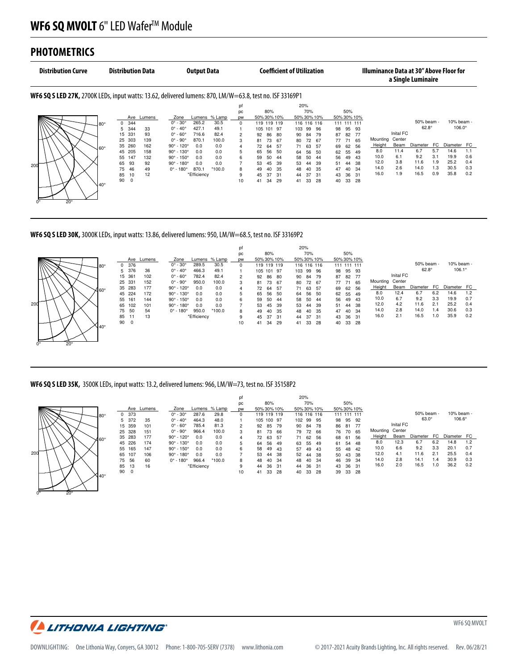#### **PHOTOMETRICS** . . . . . . . . . . . . . **NOTE: DATA SHOWN IS ABSOLUTE FOR THE SAMPLE PROVIDED. 120.4 VOLTS, 14.0 WATTS, 0.118 AMPS**

[\_PHYSICALDIMENSIONS]

Spacing to Mounting Height:1.2

|     | <b>Distribution Curve</b><br><b>Distribution Data</b>                                                           |             |          | <b>Output Data</b> |            |                               |             |               |                |         | <b>Coefficient of Utilization</b> |     |             |       |      |             | Illuminance Data at 30" Above Floor for<br>a Single Luminaire |      |          |           |              |     |               |     |
|-----|-----------------------------------------------------------------------------------------------------------------|-------------|----------|--------------------|------------|-------------------------------|-------------|---------------|----------------|---------|-----------------------------------|-----|-------------|-------|------|-------------|---------------------------------------------------------------|------|----------|-----------|--------------|-----|---------------|-----|
|     | <b>WF6 SQ S LED 27K, 2700K LEDs, input watts: 13.62, delivered lumens: 870, LM/W=63.8, test no. ISF 33169P1</b> |             |          |                    |            |                               |             |               |                |         |                                   |     |             |       |      |             |                                                               |      |          |           |              |     |               |     |
|     |                                                                                                                 |             |          |                    |            |                               |             |               | pf             |         |                                   |     | 20%         |       |      |             |                                                               |      |          |           |              |     |               |     |
|     |                                                                                                                 |             |          |                    |            |                               |             |               | pc             |         | 80%                               |     |             | 70%   |      |             | 50%                                                           |      |          |           |              |     |               |     |
|     |                                                                                                                 |             |          |                    | Ave Lumens | Zone                          |             | Lumens % Lamp | <b>DW</b>      |         | 50% 30% 10%                       |     | 50% 30% 10% |       |      | 50% 30% 10% |                                                               |      |          |           |              |     |               |     |
|     |                                                                                                                 | l 80°       | $\Omega$ | 344                |            | $0^{\circ}$ - 30 $^{\circ}$   | 265.2       | 30.5          | $\Omega$       |         | 119 119 119                       |     | 116 116 116 |       |      |             | 111 111 111                                                   |      |          |           | 50% beam -   |     | 10% beam -    |     |
|     |                                                                                                                 |             | 5.       | 344                | 33         | $0^\circ$ - $40^\circ$        | 427.1       | 49.1          |                | 105 101 |                                   | 97  | 103         | 99 96 |      | 98          | 95                                                            | 93   |          |           | $62.8^\circ$ |     | $106.0^\circ$ |     |
|     |                                                                                                                 |             | 15       | 331                | 93         | $0^\circ$ - $60^\circ$        | 716.6       | 82.4          | 2              | 92      | 86                                | 80  | 90          | 84    | 79   | 87          | 82                                                            | - 77 |          | Inital FC |              |     |               |     |
|     |                                                                                                                 |             | 25       | 303                | 139        | $0^\circ$ - $90^\circ$        | 870.1       | 100.0         | 3              | 81      | 73                                | -67 | 80          | 72 67 |      | 77          | 71                                                            | 65   | Mounting | Center    |              |     |               |     |
|     |                                                                                                                 | J60°        | 35       | 260                | 162        | $90^{\circ}$ - 120°           | 0.0         | 0.0           | $\overline{4}$ | 72      | 64                                | 57  | 71          | 63    | - 57 | 69          | 62                                                            | 56   | Height   | Beam      | Diameter     | FC  | Diameter FC   |     |
|     |                                                                                                                 |             |          | 45 205             | 158        | $90^{\circ}$ - 130 $^{\circ}$ | 0.0         | 0.0           | 5              | 65      | 56                                | 50  | 64          | 56    | - 50 | 62          | 55                                                            | 49   | 8.0      | 11.4      | 6.7          | 5.7 | 14.6          | 1.1 |
|     |                                                                                                                 |             | 55       | 147                | 132        | $90^{\circ}$ - 150 $^{\circ}$ | 0.0         | 0.0           | 6              | 59      | 50                                | 44  | 58          | 50    | -44  | 56          | 49                                                            | 43   | 10.0     | 6.1       | 9.2          | 3.1 | 19.9          | 0.6 |
| 200 |                                                                                                                 |             | 65       | 93                 | 92         | $90^{\circ}$ - 180 $^{\circ}$ | 0.0         | 0.0           |                | 53      | 45                                | 39  | 53          | 44    | 39   | 51          | 44                                                            | -38  | 12.0     | 3.8       | 11.6         | 1.9 | 25.2          | 0.4 |
|     |                                                                                                                 |             | 75       | 46                 | 49         | $0^\circ$ - 180 $^\circ$      | 870.1       | $*100.0$      | 8              | 49      | 40                                | 35  | 48          | 40    | -35  | 47          | 40                                                            | - 34 | 14.0     | 2.6       | 14.0         | 1.3 | 30.5          | 0.3 |
|     |                                                                                                                 |             | 85       | 10                 | 12         |                               | *Efficiency |               | 9              | 45      | 37                                | 31  | 44          | 37    | -31  | 43          | 36                                                            | - 31 | 16.0     | 1.9       | 16.5         | 0.9 | 35.8          | 0.2 |
|     | $20^{\circ}$                                                                                                    | $140^\circ$ | 90 0     |                    |            |                               |             |               | 10             | 41      | 34                                | 29  | 41          | 33    | 28   | 40          | 33                                                            | - 28 |          |           |              |     |               |     |

**WF6 SQ S LED 30K,** 3000K LEDs, input watts: 13.86, delivered lumens: 950, LM/W=68.5, test no. ISF 33169P2



pf 20%

#### **WF6 SQ S LED 35K,** 3500K LEDs, input watts: 13.2, delivered lumens: 966, LM/W=73, test no. ISF 35158P2

**SCALED FROM ABSOLUTE TEST: ISF 35158S AND BASED ON NOMINAL SYSTEM PERFORMANCE.**



 $0^{\circ}$  20°

 $\overline{\phantom{S}}$ 

 $\longrightarrow$  $\degree$  20 $\degree$ 

**0.5, 0.5, 0**

|     |            |                               |             |               | pc        |    | 80%        |             |     | 70% |             |    | 50%         |             |          |           |              |     |               |     |
|-----|------------|-------------------------------|-------------|---------------|-----------|----|------------|-------------|-----|-----|-------------|----|-------------|-------------|----------|-----------|--------------|-----|---------------|-----|
|     | Ave Lumens | Zone                          |             | Lumens % Lamp | <b>DW</b> |    |            | 50% 30% 10% |     |     | 50% 30% 10% |    |             | 50% 30% 10% |          |           |              |     |               |     |
| 373 |            | $0^{\circ}$ - 30 $^{\circ}$   | 287.6       | 29.8          | 0         |    |            | 119 119 119 |     |     | 116 116 116 |    | 111 111 111 |             |          |           | 50% beam -   |     | 10% beam -    |     |
| 372 | 35         | $0^\circ$ - $40^\circ$        | 464.3       | 48.0          |           |    | 105 100 97 |             | 102 | 99  | 95          | 98 | 95          | 92          |          |           | $63.0^\circ$ |     | $106.6^\circ$ |     |
| 359 | 101        | $0^\circ$ - $60^\circ$        | 785.4       | 81.3          | 2         | 92 | 85         | -79         | 90  | 84  | 78          | 86 | 81          | -77         |          | Inital FC |              |     |               |     |
| 328 | 151        | $0^\circ$ - $90^\circ$        | 966.4       | 100.0         | 3         | 81 | 73         | -66         | 79  | 72  | 66          | 76 | 70          | 65          | Mounting | Center    |              |     |               |     |
| 283 | 177        | $90^{\circ}$ - 120 $^{\circ}$ | 0.0         | 0.0           | 4         | 72 | 63         | 57          | 71  | 62  | 56          | 68 | 61          | 56          | Height   | Beam      | Diameter     | FC. | Diameter      | FC  |
| 226 | 174        | $90^{\circ}$ - 130 $^{\circ}$ | 0.0         | 0.0           | 5         | 64 | 56         | 49          | 63  | 55  | 49          | 61 | 54          | 48          | 8.0      | 12.3      | 6.7          | 6.2 | 14.8          | 1.2 |
| 165 | 147        | $90^{\circ}$ - 150 $^{\circ}$ | 0.0         | 0.0           | 6         | 58 | 49         | 43          | 57  | 49  | 43          | 55 | 48          | 42          | 10.0     | 6.6       | 9.2          | 3.3 | 20.1          | 0.7 |
| 107 | 106        | $90^{\circ}$ - 180 $^{\circ}$ | 0.0         | 0.0           |           | 53 | 44         | 38          | 52  | 44  | 38          | 50 | 43          | -38         | 12.0     | 4.1       | 11.6         | 2.1 | 25.5          | 0.4 |
| 56  | 60         | $0^{\circ}$ - 180 $^{\circ}$  | 966.4       | $*100.0$      | 8         | 48 | 40         | 34          | 48  | 40  | 34          | 46 | 39          | -34         | 14.0     | 2.8       | 14.1         | 1.4 | 30.9          | 0.3 |
| 13  | 16         |                               | *Efficiency |               | 9         | 44 | 36         | -31         | 44  | 36  | -31         | 43 | 36          | -31         | 16.0     | 2.0       | 16.5         | 1.0 | 36.2          | 0.2 |
| 0   |            |                               |             |               | 10        | 41 | 33         | 28          | 40  | 33  | 28          | 39 | 33          | -28         |          |           |              |     |               |     |
|     |            |                               |             |               |           |    |            |             |     |     |             |    |             |             |          |           |              |     |               |     |

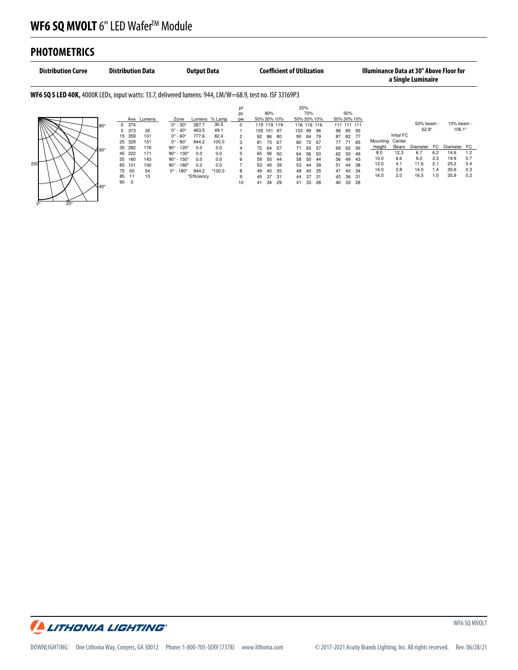## **PHOTOMETRICS**

 $\overline{\phantom{a}}$  (  $\overline{\phantom{a}}$  ) and  $\overline{\phantom{a}}$  (  $\overline{\phantom{a}}$  ) and  $\overline{\phantom{a}}$  (  $\overline{\phantom{a}}$  ) and  $\overline{\phantom{a}}$  (  $\overline{\phantom{a}}$  ) and  $\overline{\phantom{a}}$  (  $\overline{\phantom{a}}$  ) and  $\overline{\phantom{a}}$  (  $\overline{\phantom{a}}$  ) and  $\overline{\phantom{a}}$  (  $\overline{\phantom{a}}$  ) a

|     | <b>Distribution Curve</b>                                                                                      |      |      |        | <b>Distribution Data</b> |                               | <b>Output Data</b> |               |    |             |             |      | <b>Coefficient of Utilization</b> |     |     |    |             |             | Illuminance Data at 30" Above Floor for |           | a Single Luminaire |     |                 |     |
|-----|----------------------------------------------------------------------------------------------------------------|------|------|--------|--------------------------|-------------------------------|--------------------|---------------|----|-------------|-------------|------|-----------------------------------|-----|-----|----|-------------|-------------|-----------------------------------------|-----------|--------------------|-----|-----------------|-----|
|     | <b>WF6 SQ S LED 40K,</b> 4000K LEDs, input watts: 13.7, delivered lumens: 944, LM/W=68.9, test no. ISF 33169P3 |      |      |        |                          |                               |                    |               |    |             |             |      |                                   |     |     |    |             |             |                                         |           |                    |     |                 |     |
|     |                                                                                                                |      |      |        |                          |                               |                    |               | pf |             |             |      | 20%                               |     |     |    |             |             |                                         |           |                    |     |                 |     |
|     |                                                                                                                |      |      |        |                          |                               |                    |               | pc |             | 80%         |      |                                   | 70% |     |    | 50%         |             |                                         |           |                    |     |                 |     |
|     |                                                                                                                |      |      | Ave    | Lumens                   | Zone                          |                    | Lumens % Lamp | pw | 50% 30% 10% |             |      | 50% 30% 10%                       |     |     |    |             | 50% 30% 10% |                                         |           |                    |     |                 |     |
|     |                                                                                                                | J80° | 0    | 374    |                          | $0^{\circ} - 30^{\circ}$      | 287.7              | 30.5          | 0  |             | 119 119 119 |      | 116 116 116                       |     |     |    | 111 111 111 |             |                                         |           | 50% beam -         |     | 10% beam -      |     |
|     |                                                                                                                |      | 5    | 373    | 35                       | $0^{\circ} - 40^{\circ}$      | 463.5              | 49.1          |    |             | 105 101 97  |      | 103                               | 99  | 96  | 98 | 95          | 93          |                                         |           | $62.8^\circ$       |     | $106.1^{\circ}$ |     |
|     |                                                                                                                |      | 15   | 359    | 101                      | $0^\circ$ - $60^\circ$        | 777.6              | 82.4          | 2  | 92          | 86          | - 80 | 90                                | 84  | 79  | 87 | 82          | 77          |                                         | Inital FC |                    |     |                 |     |
|     |                                                                                                                |      | 25   | 329    | 151                      | $0^\circ$ - $90^\circ$        | 944.2              | 100.0         | 3  | 81          | 73          | 67   | 80                                | 72  | -67 | 77 | 71          | 65          | Mounting                                | Center    |                    |     |                 |     |
|     | √l60°                                                                                                          |      |      | 35 282 | 176                      | $90^{\circ}$ - 120°           | 0.0                | 0.0           | 4  | 72          | 64          | -57  | 71                                | 63  | 57  | 69 | 62          | 56          | Height                                  | Beam      | <b>Diameter</b>    | FC  | Diameter FC     |     |
|     |                                                                                                                |      |      | 45 222 | 171                      | $90^{\circ}$ - 130°           | 0.0                | 0.0           | 5  | 65          | 56          | 50   | 64                                | 56  | 50  | 62 | 55          | 49          | 8.0                                     | 12.3      | 6.7                | 6.2 | 14.6            | 1.2 |
|     |                                                                                                                |      | 55   | 160    | 143                      | $90^{\circ}$ - 150°           | 0.0                | 0.0           | 6  | 59          | 50          | -44  | 58                                | 50  | -44 | 56 | 49          | 43          | 10.0                                    | 6.6       | 9.2                | 3.3 | 19.9            | 0.7 |
| 200 |                                                                                                                |      | 65   | 101    | 100                      | $90^{\circ}$ - 180 $^{\circ}$ | 0.0                | 0.0           |    | 53          | 45          | 39   | 53                                | 44  | 39  | 51 | 44          | 38          | 12.0                                    | 4.1       | 11.6               | 2.1 | 25.2            | 0.4 |
|     |                                                                                                                |      | 75   | 50     | 54                       | $0^{\circ}$ - 180 $^{\circ}$  | 944.2              | $*100.0$      | 8  | 49          | 40          | -35  | 48                                | 40  | -35 | 47 | 40          | 34          | 14.0                                    | 2.8       | 14.0               | 1.4 | 30.6            | 0.3 |
|     |                                                                                                                |      | 85   | 11     | 13                       |                               | *Efficiency        |               | 9  | 45          | 37          | -31  | 44                                | 37  | 31  | 43 | 36          | -31         | 16.0                                    | 2.0       | 16.5               | 1.0 | 35.9            | 0.2 |
|     |                                                                                                                |      | 90 0 |        |                          |                               |                    |               | 10 | 41          | 34          | -29  | 41                                | 33  | 28  | 40 | 33          | 28          |                                         |           |                    |     |                 |     |
|     | ¶40°<br>$20^{\circ}$                                                                                           |      |      |        |                          |                               |                    |               |    |             |             |      |                                   |     |     |    |             |             |                                         |           |                    |     |                 |     |

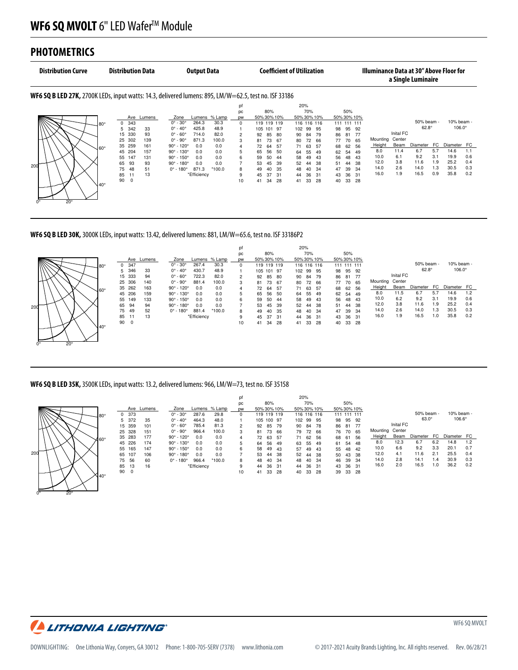#### **PHOTOMETRICS** . . . . . . . . . . . . . **NOTE: DATA SHOWN IS ABSOLUTE FOR THE SAMPLE PROVIDED. 120.4 VOLTS, 14.3 WATTS, 0.120 AMPS**

 $0^\circ$  20°

Spacing to Mounting Height:1.2

[\_PHYSICALDIMENSIONS]

| <b>Distribution Curve</b> | <b>Distribution Data</b>     | <b>Output Data</b>                                                                                    |                |                 | <b>Coefficient of Utilization</b> |                  | Illuminance Data at 30" Above Floor for | a Single Luminaire    |               |
|---------------------------|------------------------------|-------------------------------------------------------------------------------------------------------|----------------|-----------------|-----------------------------------|------------------|-----------------------------------------|-----------------------|---------------|
|                           |                              | WF6 SQ B LED 27K, 2700K LEDs, input watts: 14.3, delivered lumens: 895, LM/W=62.5, test no. ISF 33186 |                |                 |                                   |                  |                                         |                       |               |
|                           |                              |                                                                                                       | D              |                 | 20%                               |                  |                                         |                       |               |
|                           |                              |                                                                                                       | pc             | 80%             | 70%                               | 50%              |                                         |                       |               |
|                           | Ave<br>Lumens                | Zone<br>Lumens % Lamp                                                                                 | <b>DW</b>      | 50% 30% 10%     | 50% 30% 10%                       | 50% 30% 10%      |                                         |                       |               |
|                           | 343<br>$\Omega$<br>la∩∘      | $0^\circ$ - $30^\circ$<br>30.3<br>264.3                                                               | $\Omega$       | 119 119 119     | 116 116 116                       | 111 111 111      |                                         | 50% beam -            | 10% beam -    |
|                           | 342<br>33<br>5.              | $0^\circ$ - $40^\circ$<br>425.8<br>48.9                                                               |                | 105 101<br>-97  | 99 95<br>102                      | 95<br>92<br>98   |                                         | $62.8^\circ$          | $106.0^\circ$ |
|                           | 15 330<br>93                 | $0^\circ$ - $60^\circ$<br>82.0<br>714.0                                                               | $\overline{2}$ | 92<br>80<br>85  | 84<br>79<br>90                    | 86<br>- 77<br>81 | Inital FC                               |                       |               |
|                           | 139<br>302<br>25             | $0^\circ$ - $90^\circ$<br>871.3<br>100.0                                                              | 3              | 73<br>67<br>81  | 72<br>80<br>- 66                  | 70<br>77<br>- 65 | Center<br>Mounting                      |                       |               |
|                           | 35<br>259<br>161<br>Jeo∘     | $90^{\circ}$ - 120 $^{\circ}$<br>0.0<br>0.0                                                           | $\overline{4}$ | .57<br>72<br>64 | 71<br>63<br>57                    | 62<br>-56<br>68  | Beam<br>Height                          | <b>FC</b><br>Diameter | Diameter FC   |
|                           | 157<br>45<br>204             | $90^{\circ}$ - 130 $^{\circ}$<br>0.0<br>0.0                                                           | 5              | -50<br>65<br>56 | 55<br>64<br>49                    | 62<br>54<br>49   | 8.0<br>11.4                             | 5.7<br>6.7            | 14.6<br>1.1   |
|                           | 147<br>55<br>131             | $90^{\circ}$ - 150 $^{\circ}$<br>0.0<br>0.0                                                           | 6              | 59<br>50<br>44  | 49<br>58<br>43                    | 56<br>48<br>-43  | 10.0<br>6.1                             | 9.2<br>3.1            | 19.9<br>0.6   |
|                           | 65<br>93<br>93               | $90^{\circ}$ - 180 $^{\circ}$<br>0.0<br>0.0                                                           |                | 39<br>53<br>45  | 52<br>44<br>38                    | -38<br>51<br>44  | 12.0<br>3.8                             | 11.6<br>1.9           | 25.2<br>0.4   |
| 200                       | 75<br>48<br>51               | $0^{\circ}$ - 180 $^{\circ}$<br>871.3<br>$*100.0$                                                     | 8              | 49<br>35<br>40  | 40<br>-34<br>48                   | 47<br>39<br>-34  | 14.0<br>2.6                             | 14.0<br>1.3           | 30.5<br>0.3   |
|                           | 85<br>13                     | *Efficiency                                                                                           | 9              | 31<br>45<br>31  | 36<br>-31<br>44                   | 36<br>43<br>31   | 16.0<br>1.9                             | 16.5<br>0.9           | 35.8<br>0.2   |
|                           | 90<br>0<br>$\sqrt{40^\circ}$ |                                                                                                       | 10             | 28<br>34<br>41  | 33<br>28<br>41                    | 33<br>- 28<br>40 |                                         |                       |               |
|                           |                              |                                                                                                       |                |                 |                                   |                  |                                         |                       |               |

**WF6 SQ B LED 30K,** 3000K LEDs, input watts: 13.42, delivered lumens: 881, LM/W=65.6, test no. ISF 33186P2

**120.4 VOLTS, 14.3 WATTS, 0.120 AMPS**



#### **WF6 SQ B LED 35K,** 3500K LEDs, input watts: 13.2, delivered lumens: 966, LM/W=73, test no. ISF 35158

**SCALED FROM ABSOLUTE TEST: ISF 35158S AND BASED ON NOMINAL SYSTEM PERFORMANCE.**



 $0^{\circ}$  20°

 $\overline{\phantom{S}}$ 

 $\longrightarrow$   $\vee$  $\degree$  20 $\degree$ 

**0.5, 0.5, 0**

|     |        |                               |             |          | pf        |             |        |             |     | 20%         |             |             |             |     |          |           |              |     |               |     |
|-----|--------|-------------------------------|-------------|----------|-----------|-------------|--------|-------------|-----|-------------|-------------|-------------|-------------|-----|----------|-----------|--------------|-----|---------------|-----|
|     |        |                               |             |          | pc        |             | 80%    |             |     | 70%         |             |             | 50%         |     |          |           |              |     |               |     |
| Ave | Lumens | Zone                          | Lumens      | % Lamp   | <b>DW</b> | 50% 30% 10% |        |             |     |             | 50% 30% 10% | 50% 30% 10% |             |     |          |           |              |     |               |     |
| 373 |        | $0^{\circ}$ - 30 $^{\circ}$   | 287.6       | 29.8     | 0         |             |        | 119 119 119 |     | 116 116 116 |             |             | 111 111 111 |     |          |           | 50% beam -   |     | 10% beam -    |     |
| 372 | 35     | $0^\circ$ - $40^\circ$        | 464.3       | 48.0     |           | 105         | 100 97 |             | 102 | 99          | 95          | 98          | 95          | 92  |          |           | $63.0^\circ$ |     | $106.6^\circ$ |     |
| 359 | 101    | $0^\circ$ - $60^\circ$        | 785.4       | 81.3     | 2         | 92          | 85     | 79          | 90  | 84          | 78          | 86          | 81          | -77 |          | Inital FC |              |     |               |     |
| 328 | 151    | $0^\circ$ - 90 $^\circ$       | 966.4       | 100.0    | 3         | 81          | 73     | 66          | 79  | 72          | 66          | 76          | 70          | 65  | Mounting | Center    |              |     |               |     |
| 283 | 177    | $90^{\circ}$ - 120 $^{\circ}$ | 0.0         | 0.0      | 4         | 72          | 63     | 57          | 71  | 62          | 56          | 68          | 61          | 56  | Height   | Beam      | Diameter     | FC. | Diameter      | FC  |
| 226 | 174    | $90^{\circ}$ - 130°           | 0.0         | 0.0      | 5         | 64          | 56     | 49          | 63  | 55          | 49          | 61          | 54          | 48  | 8.0      | 12.3      | 6.7          | 6.2 | 14.8          | 1.2 |
| 165 | 147    | $90^{\circ}$ - 150 $^{\circ}$ | 0.0         | 0.0      | 6         | 58          | 49     | 43          | 57  | 49          | 43          | 55          | 48          | 42  | 10.0     | 6.6       | 9.2          | 3.3 | 20.1          | 0.7 |
| 107 | 106    | $90^{\circ}$ - 180 $^{\circ}$ | 0.0         | 0.0      |           | 53          | 44     | 38          | 52  | 44          | 38          | 50          | 43          | 38  | 12.0     | 4.1       | 11.6         | 2.1 | 25.5          | 0.4 |
| 56  | 60     | $0^{\circ}$ - 180 $^{\circ}$  | 966.4       | $*100.0$ | 8         | 48          | 40     | 34          | 48  | 40          | 34          | 46          | 39          | -34 | 14.0     | 2.8       | 14.1         | 1.4 | 30.9          | 0.3 |
| 13  | 16     |                               | *Efficiencv |          | 9         | 44          | 36     | -31         | 44  | 36          | 31          | 43          | 36          | -31 | 16.0     | 2.0       | 16.5         | 1.0 | 36.2          | 0.2 |
| 0   |        |                               |             |          | 10        | 41          | 33     | 28          | 40  | 33          | 28          | 39          | 33          | 28  |          |           |              |     |               |     |

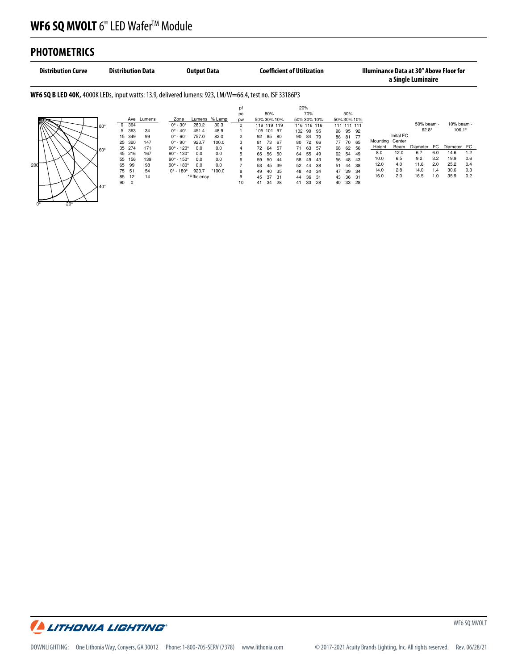## **PHOTOMETRICS**

 $0^{\circ}$  20°

[\_PHYSICALDIMENSIONS]

| <b>Distribution Curve</b>                                                                                      | <b>Distribution Data</b>                                                                                                                                             | <b>Output Data</b>                                                                                                                                                                                                                                                             |                                        |                                                                                                                                                 | <b>Coefficient of Utilization</b>                                                                                                             |                                                                                                                                               | <b>Illuminance Data at 30" Above Floor for</b>                                            | a Single Luminaire                                                                      |                                                                                        |
|----------------------------------------------------------------------------------------------------------------|----------------------------------------------------------------------------------------------------------------------------------------------------------------------|--------------------------------------------------------------------------------------------------------------------------------------------------------------------------------------------------------------------------------------------------------------------------------|----------------------------------------|-------------------------------------------------------------------------------------------------------------------------------------------------|-----------------------------------------------------------------------------------------------------------------------------------------------|-----------------------------------------------------------------------------------------------------------------------------------------------|-------------------------------------------------------------------------------------------|-----------------------------------------------------------------------------------------|----------------------------------------------------------------------------------------|
| <b>WF6 SQ B LED 40K,</b> 4000K LEDs, input watts: 13.9, delivered lumens: 923, LM/W=66.4, test no. ISF 33186P3 |                                                                                                                                                                      |                                                                                                                                                                                                                                                                                |                                        |                                                                                                                                                 |                                                                                                                                               |                                                                                                                                               |                                                                                           |                                                                                         |                                                                                        |
|                                                                                                                | Ave<br>Lumens<br>364<br>$\Omega$<br>l 80°<br>363<br>34<br>5<br>349<br>99<br>15                                                                                       | Lumens % Lamp<br>Zone<br>$0^{\circ} - 30^{\circ}$<br>30.3<br>280.2<br>$0^\circ$ - 40 $^\circ$<br>48.9<br>451.4<br>$0^\circ$ - 60 $^\circ$<br>757.0<br>82.0                                                                                                                     | pf<br>pc<br><b>DW</b><br>$\Omega$<br>2 | 80%<br>50% 30% 10%<br>119 119 119<br>105 101 97<br>85<br>-80<br>92                                                                              | 20%<br>70%<br>50% 30% 10%<br>116 116 116<br>102 99<br>-95<br>84<br>-79<br>90                                                                  | 50%<br>50% 30% 10%<br>111 111 111<br>95<br>98<br>-92<br>86<br>81<br>77                                                                        | Inital FC<br>Center<br>Mounting                                                           | 50% beam -<br>$62.8^\circ$                                                              | 10% beam -<br>$106.1^{\circ}$                                                          |
| 200                                                                                                            | 147<br>25<br>320<br>35<br>274<br>171<br>J60°<br>167<br>216<br>45<br>55<br>156<br>139<br>65<br>99<br>98<br>75<br>54<br>51<br>12<br>14<br>85<br>90<br>0<br>$440^\circ$ | $0^{\circ}$ - $90^{\circ}$<br>923.7<br>100.0<br>$90^{\circ}$ - 120°<br>0.0<br>0.0<br>$90^{\circ}$ - 130°<br>0.0<br>0.0<br>$90^{\circ}$ - 150°<br>0.0<br>0.0<br>$90^{\circ}$ - 180 $^{\circ}$<br>0.0<br>0.0<br>923.7<br>$0^{\circ}$ - 180 $^{\circ}$<br>$*100.0$<br>*Efficiency | 3<br>5<br>6<br>8<br>9<br>10            | 73<br>67<br>81<br>64<br>72<br>-57<br>56<br>-50<br>65<br>50<br>59<br>44<br>53<br>39<br>45<br>35<br>49<br>40<br>45<br>37<br>-31<br>28<br>34<br>41 | 80<br>72<br>66<br>63<br>71<br>-57<br>55<br>49<br>64<br>58<br>49<br>43<br>52<br>38<br>44<br>48<br>34<br>40<br>36<br>44<br>31<br>33<br>28<br>41 | 77<br>70<br>65<br>62<br>68<br>56<br>62<br>54<br>49<br>56<br>48<br>43<br>51<br>38<br>44<br>47<br>39<br>34<br>36<br>31<br>43<br>33<br>40<br>-28 | Beam<br>Height<br>12.0<br>8.0<br>10.0<br>6.5<br>12.0<br>4.0<br>14.0<br>2.8<br>2.0<br>16.0 | Diameter<br>FC<br>6.7<br>6.0<br>9.2<br>3.2<br>11.6<br>2.0<br>14.0<br>1.4<br>16.5<br>1.0 | Diameter FC<br>1.2<br>14.6<br>0.6<br>19.9<br>25.2<br>0.4<br>0.3<br>30.6<br>0.2<br>35.9 |